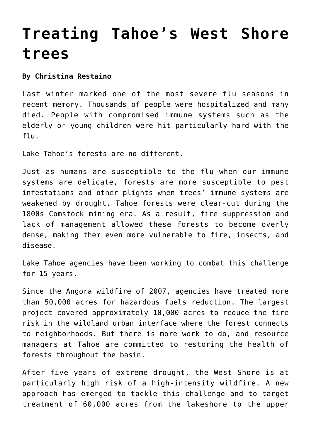## **[Treating Tahoe's West Shore](https://www.laketahoenews.net/2018/07/treating-tahoes-west-shore-trees/) [trees](https://www.laketahoenews.net/2018/07/treating-tahoes-west-shore-trees/)**

## **By Christina Restaino**

Last winter marked one of the most severe flu seasons in recent memory. Thousands of people were hospitalized and many died. People with compromised immune systems such as the elderly or young children were hit particularly hard with the flu.

Lake Tahoe's forests are no different.

Just as humans are susceptible to the flu when our immune systems are delicate, forests are more susceptible to pest infestations and other plights when trees' immune systems are weakened by drought. Tahoe forests were clear-cut during the 1800s Comstock mining era. As a result, fire suppression and lack of management allowed these forests to become overly dense, making them even more vulnerable to fire, insects, and disease.

Lake Tahoe agencies have been working to combat this challenge for 15 years.

Since the Angora wildfire of 2007, agencies have treated more than 50,000 acres for hazardous fuels reduction. The largest project covered approximately 10,000 acres to reduce the fire risk in the wildland urban interface where the forest connects to neighborhoods. But there is more work to do, and resource managers at Tahoe are committed to restoring the health of forests throughout the basin.

After five years of extreme drought, the West Shore is at particularly high risk of a high-intensity wildfire. A new approach has emerged to tackle this challenge and to target treatment of 60,000 acres from the lakeshore to the upper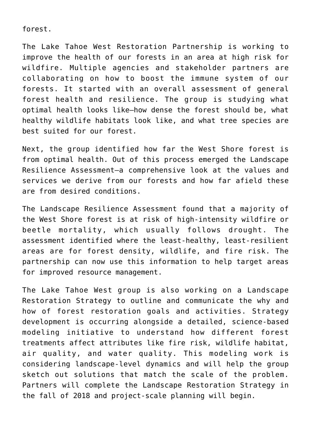forest.

The Lake Tahoe West Restoration Partnership is working to improve the health of our forests in an area at high risk for wildfire. Multiple agencies and stakeholder partners are collaborating on how to boost the immune system of our forests. It started with an overall assessment of general forest health and resilience. The group is studying what optimal health looks like—how dense the forest should be, what healthy wildlife habitats look like, and what tree species are best suited for our forest.

Next, the group identified how far the West Shore forest is from optimal health. Out of this process emerged the Landscape Resilience Assessment—a comprehensive look at the values and services we derive from our forests and how far afield these are from desired conditions.

The Landscape Resilience Assessment found that a majority of the West Shore forest is at risk of high-intensity wildfire or beetle mortality, which usually follows drought. The assessment identified where the least-healthy, least-resilient areas are for forest density, wildlife, and fire risk. The partnership can now use this information to help target areas for improved resource management.

The Lake Tahoe West group is also working on a Landscape Restoration Strategy to outline and communicate the why and how of forest restoration goals and activities. Strategy development is occurring alongside a detailed, science-based modeling initiative to understand how different forest treatments affect attributes like fire risk, wildlife habitat, air quality, and water quality. This modeling work is considering landscape-level dynamics and will help the group sketch out solutions that match the scale of the problem. Partners will complete the Landscape Restoration Strategy in the fall of 2018 and project-scale planning will begin.